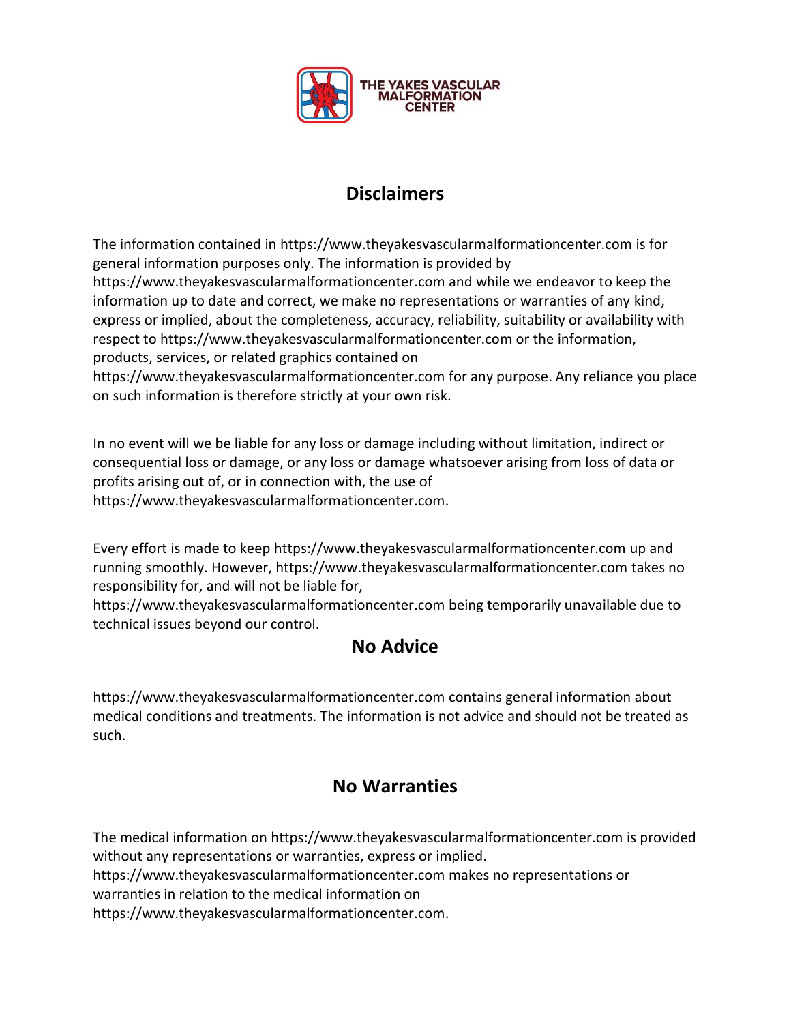

### **Disclaimers**

The information contained in https://www.theyakesvascularmalformationcenter.com is for general information purposes only. The information is provided by https://www.theyakesvascularmalformationcenter.com and while we endeavor to keep the information up to date and correct, we make no representations or warranties of any kind, express or implied, about the completeness, accuracy, reliability, suitability or availability with respect to https://www.theyakesvascularmalformationcenter.com or the information, products, services, or related graphics contained on

https://www.theyakesvascularmalformationcenter.com for any purpose. Any reliance you place on such information is therefore strictly at your own risk.

In no event will we be liable for any loss or damage including without limitation, indirect or consequential loss or damage, or any loss or damage whatsoever arising from loss of data or profits arising out of, or in connection with, the use of https://www.theyakesvascularmalformationcenter.com.

Every effort is made to keep https://www.theyakesvascularmalformationcenter.com up and running smoothly. However, https://www.theyakesvascularmalformationcenter.com takes no responsibility for, and will not be liable for,

https://www.theyakesvascularmalformationcenter.com being temporarily unavailable due to technical issues beyond our control.

#### **No Advice**

https://www.theyakesvascularmalformationcenter.com contains general information about medical conditions and treatments. The information is not advice and should not be treated as such.

#### **No Warranties**

The medical information on https://www.theyakesvascularmalformationcenter.com is provided without any representations or warranties, express or implied. https://www.theyakesvascularmalformationcenter.com makes no representations or warranties in relation to the medical information on

https://www.theyakesvascularmalformationcenter.com.